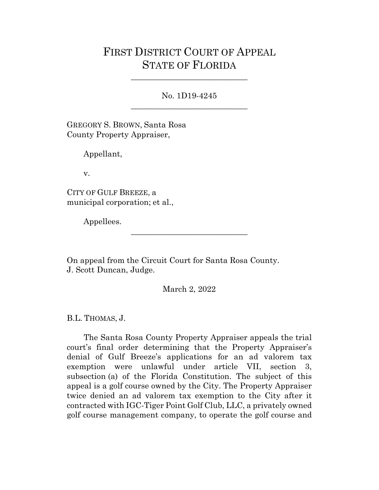## FIRST DISTRICT COURT OF APPEAL STATE OF FLORIDA

No. 1D19-4245 \_\_\_\_\_\_\_\_\_\_\_\_\_\_\_\_\_\_\_\_\_\_\_\_\_\_\_\_\_

\_\_\_\_\_\_\_\_\_\_\_\_\_\_\_\_\_\_\_\_\_\_\_\_\_\_\_\_\_

GREGORY S. BROWN, Santa Rosa County Property Appraiser,

Appellant,

v.

CITY OF GULF BREEZE, a municipal corporation; et al.,

Appellees.

On appeal from the Circuit Court for Santa Rosa County. J. Scott Duncan, Judge.

March 2, 2022

\_\_\_\_\_\_\_\_\_\_\_\_\_\_\_\_\_\_\_\_\_\_\_\_\_\_\_\_\_

B.L. THOMAS, J.

The Santa Rosa County Property Appraiser appeals the trial court's final order determining that the Property Appraiser's denial of Gulf Breeze's applications for an ad valorem tax exemption were unlawful under article VII, section 3, subsection (a) of the Florida Constitution. The subject of this appeal is a golf course owned by the City. The Property Appraiser twice denied an ad valorem tax exemption to the City after it contracted with IGC-Tiger Point Golf Club, LLC, a privately owned golf course management company, to operate the golf course and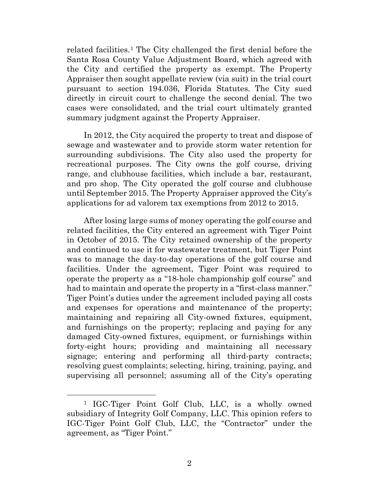related facilities.<sup>[1](#page-1-0)</sup> The City challenged the first denial before the Santa Rosa County Value Adjustment Board, which agreed with the City and certified the property as exempt. The Property Appraiser then sought appellate review (via suit) in the trial court pursuant to section 194.036, Florida Statutes. The City sued directly in circuit court to challenge the second denial. The two cases were consolidated, and the trial court ultimately granted summary judgment against the Property Appraiser.

In 2012, the City acquired the property to treat and dispose of sewage and wastewater and to provide storm water retention for surrounding subdivisions. The City also used the property for recreational purposes. The City owns the golf course, driving range, and clubhouse facilities, which include a bar, restaurant, and pro shop. The City operated the golf course and clubhouse until September 2015. The Property Appraiser approved the City's applications for ad valorem tax exemptions from 2012 to 2015.

After losing large sums of money operating the golf course and related facilities, the City entered an agreement with Tiger Point in October of 2015. The City retained ownership of the property and continued to use it for wastewater treatment, but Tiger Point was to manage the day-to-day operations of the golf course and facilities. Under the agreement, Tiger Point was required to operate the property as a "18-hole championship golf course" and had to maintain and operate the property in a "first-class manner." Tiger Point's duties under the agreement included paying all costs and expenses for operations and maintenance of the property; maintaining and repairing all City-owned fixtures, equipment, and furnishings on the property; replacing and paying for any damaged City-owned fixtures, equipment, or furnishings within forty-eight hours; providing and maintaining all necessary signage; entering and performing all third-party contracts; resolving guest complaints; selecting, hiring, training, paying, and supervising all personnel; assuming all of the City's operating

<span id="page-1-0"></span><sup>1</sup> IGC-Tiger Point Golf Club, LLC, is a wholly owned subsidiary of Integrity Golf Company, LLC. This opinion refers to IGC-Tiger Point Golf Club, LLC, the "Contractor" under the agreement, as "Tiger Point."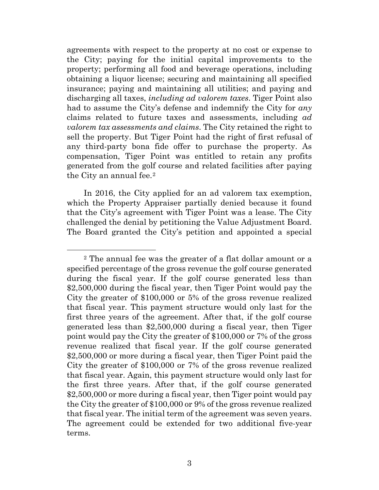agreements with respect to the property at no cost or expense to the City; paying for the initial capital improvements to the property; performing all food and beverage operations, including obtaining a liquor license; securing and maintaining all specified insurance; paying and maintaining all utilities; and paying and discharging all taxes, *including ad valorem taxes*. Tiger Point also had to assume the City's defense and indemnify the City for *any*  claims related to future taxes and assessments, including *ad valorem tax assessments and claims*. The City retained the right to sell the property. But Tiger Point had the right of first refusal of any third-party bona fide offer to purchase the property. As compensation, Tiger Point was entitled to retain any profits generated from the golf course and related facilities after paying the City an annual fee.[2](#page-2-0)

In 2016, the City applied for an ad valorem tax exemption, which the Property Appraiser partially denied because it found that the City's agreement with Tiger Point was a lease. The City challenged the denial by petitioning the Value Adjustment Board. The Board granted the City's petition and appointed a special

<span id="page-2-0"></span><sup>2</sup> The annual fee was the greater of a flat dollar amount or a specified percentage of the gross revenue the golf course generated during the fiscal year. If the golf course generated less than \$2,500,000 during the fiscal year, then Tiger Point would pay the City the greater of \$100,000 or 5% of the gross revenue realized that fiscal year. This payment structure would only last for the first three years of the agreement. After that, if the golf course generated less than \$2,500,000 during a fiscal year, then Tiger point would pay the City the greater of \$100,000 or 7% of the gross revenue realized that fiscal year. If the golf course generated \$2,500,000 or more during a fiscal year, then Tiger Point paid the City the greater of \$100,000 or 7% of the gross revenue realized that fiscal year. Again, this payment structure would only last for the first three years. After that, if the golf course generated \$2,500,000 or more during a fiscal year, then Tiger point would pay the City the greater of \$100,000 or 9% of the gross revenue realized that fiscal year. The initial term of the agreement was seven years. The agreement could be extended for two additional five-year terms.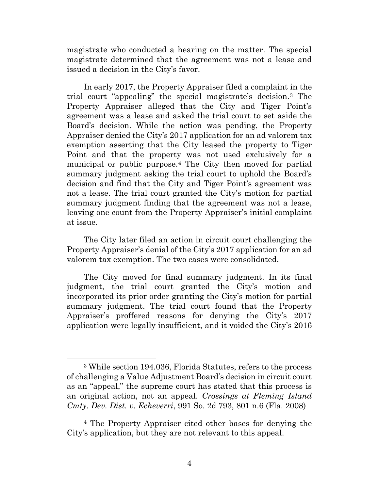magistrate who conducted a hearing on the matter. The special magistrate determined that the agreement was not a lease and issued a decision in the City's favor.

In early 2017, the Property Appraiser filed a complaint in the trial court "appealing" the special magistrate's decision.[3](#page-3-0) The Property Appraiser alleged that the City and Tiger Point's agreement was a lease and asked the trial court to set aside the Board's decision. While the action was pending, the Property Appraiser denied the City's 2017 application for an ad valorem tax exemption asserting that the City leased the property to Tiger Point and that the property was not used exclusively for a municipal or public purpose.[4](#page-3-1) The City then moved for partial summary judgment asking the trial court to uphold the Board's decision and find that the City and Tiger Point's agreement was not a lease. The trial court granted the City's motion for partial summary judgment finding that the agreement was not a lease, leaving one count from the Property Appraiser's initial complaint at issue.

The City later filed an action in circuit court challenging the Property Appraiser's denial of the City's 2017 application for an ad valorem tax exemption. The two cases were consolidated.

The City moved for final summary judgment. In its final judgment, the trial court granted the City's motion and incorporated its prior order granting the City's motion for partial summary judgment. The trial court found that the Property Appraiser's proffered reasons for denying the City's 2017 application were legally insufficient, and it voided the City's 2016

<span id="page-3-0"></span><sup>3</sup> While section 194.036, Florida Statutes, refers to the process of challenging a Value Adjustment Board's decision in circuit court as an "appeal," the supreme court has stated that this process is an original action, not an appeal. *Crossings at Fleming Island Cmty. Dev. Dist. v. Echeverri*, 991 So. 2d 793, 801 n.6 (Fla. 2008)

<span id="page-3-1"></span><sup>4</sup> The Property Appraiser cited other bases for denying the City's application, but they are not relevant to this appeal.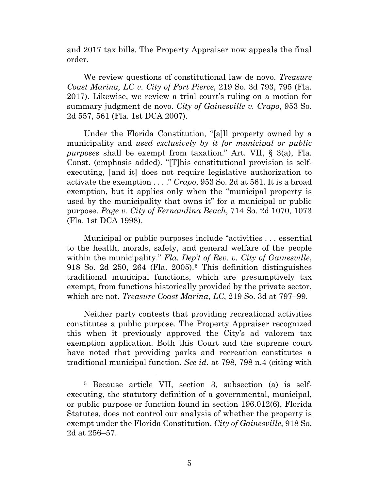and 2017 tax bills. The Property Appraiser now appeals the final order.

We review questions of constitutional law de novo. *Treasure Coast Marina, LC v. City of Fort Pierce*, 219 So. 3d 793, 795 (Fla. 2017). Likewise, we review a trial court's ruling on a motion for summary judgment de novo. *City of Gainesville v. Crapo*, 953 So. 2d 557, 561 (Fla. 1st DCA 2007).

Under the Florida Constitution, "[a]ll property owned by a municipality and *used exclusively by it for municipal or public purposes* shall be exempt from taxation." Art. VII, § 3(a), Fla. Const. (emphasis added). "[T]his constitutional provision is selfexecuting, [and it] does not require legislative authorization to activate the exemption . . . ." *Crapo*, 953 So. 2d at 561. It is a broad exemption, but it applies only when the "municipal property is used by the municipality that owns it" for a municipal or public purpose. *Page v. City of Fernandina Beach*, 714 So. 2d 1070, 1073 (Fla. 1st DCA 1998).

Municipal or public purposes include "activities . . . essential to the health, morals, safety, and general welfare of the people within the municipality." *Fla. Dep't of Rev. v. City of Gainesville*, 918 So. 2d 250, 264 (Fla. 2005).[5](#page-4-0) This definition distinguishes traditional municipal functions, which are presumptively tax exempt, from functions historically provided by the private sector, which are not. *Treasure Coast Marina*, *LC*, 219 So. 3d at 797–99.

Neither party contests that providing recreational activities constitutes a public purpose. The Property Appraiser recognized this when it previously approved the City's ad valorem tax exemption application. Both this Court and the supreme court have noted that providing parks and recreation constitutes a traditional municipal function. *See id.* at 798, 798 n.4 (citing with

<span id="page-4-0"></span><sup>5</sup> Because article VII, section 3, subsection (a) is selfexecuting, the statutory definition of a governmental, municipal, or public purpose or function found in section 196.012(6), Florida Statutes, does not control our analysis of whether the property is exempt under the Florida Constitution. *City of Gainesville*, 918 So. 2d at 256–57.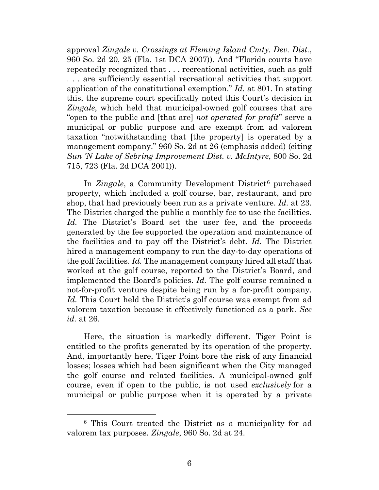approval *Zingale v. Crossings at Fleming Island Cmty. Dev. Dist.*, 960 So. 2d 20, 25 (Fla. 1st DCA 2007)). And "Florida courts have repeatedly recognized that . . . recreational activities, such as golf . . . are sufficiently essential recreational activities that support application of the constitutional exemption." *Id.* at 801. In stating this, the supreme court specifically noted this Court's decision in *Zingale*, which held that municipal-owned golf courses that are "open to the public and [that are] *not operated for profit*" serve a municipal or public purpose and are exempt from ad valorem taxation "notwithstanding that [the property] is operated by a management company." 960 So. 2d at 26 (emphasis added) (citing *Sun 'N Lake of Sebring Improvement Dist. v. McIntyre*, 800 So. 2d 715, 723 (Fla. 2d DCA 2001)).

In *Zingale*, a Community Development District<sup>[6](#page-5-0)</sup> purchased property, which included a golf course, bar, restaurant, and pro shop, that had previously been run as a private venture. *Id.* at 23. The District charged the public a monthly fee to use the facilities. Id. The District's Board set the user fee, and the proceeds generated by the fee supported the operation and maintenance of the facilities and to pay off the District's debt. *Id.* The District hired a management company to run the day-to-day operations of the golf facilities. *Id.* The management company hired all staff that worked at the golf course, reported to the District's Board, and implemented the Board's policies. *Id.* The golf course remained a not-for-profit venture despite being run by a for-profit company. *Id.* This Court held the District's golf course was exempt from ad valorem taxation because it effectively functioned as a park. *See id.* at 26.

Here, the situation is markedly different. Tiger Point is entitled to the profits generated by its operation of the property. And, importantly here, Tiger Point bore the risk of any financial losses; losses which had been significant when the City managed the golf course and related facilities. A municipal-owned golf course, even if open to the public, is not used *exclusively* for a municipal or public purpose when it is operated by a private

<span id="page-5-0"></span><sup>6</sup> This Court treated the District as a municipality for ad valorem tax purposes. *Zingale*, 960 So. 2d at 24.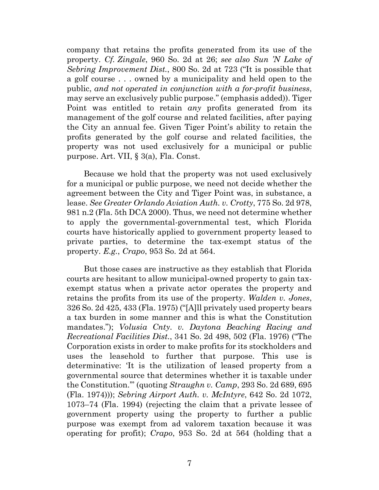company that retains the profits generated from its use of the property. *Cf. Zingale*, 960 So. 2d at 26; *see also Sun 'N Lake of Sebring Improvement Dist.*, 800 So. 2d at 723 ("It is possible that a golf course . . . owned by a municipality and held open to the public, *and not operated in conjunction with a for-profit business*, may serve an exclusively public purpose." (emphasis added)). Tiger Point was entitled to retain *any* profits generated from its management of the golf course and related facilities, after paying the City an annual fee. Given Tiger Point's ability to retain the profits generated by the golf course and related facilities, the property was not used exclusively for a municipal or public purpose. Art. VII, § 3(a), Fla. Const.

Because we hold that the property was not used exclusively for a municipal or public purpose, we need not decide whether the agreement between the City and Tiger Point was, in substance, a lease. *See Greater Orlando Aviation Auth. v. Crotty*, 775 So. 2d 978, 981 n.2 (Fla. 5th DCA 2000). Thus, we need not determine whether to apply the governmental-governmental test, which Florida courts have historically applied to government property leased to private parties, to determine the tax-exempt status of the property. *E.g.*, *Crapo*, 953 So. 2d at 564.

But those cases are instructive as they establish that Florida courts are hesitant to allow municipal-owned property to gain taxexempt status when a private actor operates the property and retains the profits from its use of the property. *Walden v. Jones*, 326 So. 2d 425, 433 (Fla. 1975) ("[A]ll privately used property bears a tax burden in some manner and this is what the Constitution mandates."); *Volusia Cnty. v. Daytona Beaching Racing and Recreational Facilities Dist.*, 341 So. 2d 498, 502 (Fla. 1976) ("The Corporation exists in order to make profits for its stockholders and uses the leasehold to further that purpose. This use is determinative: 'It is the utilization of leased property from a governmental source that determines whether it is taxable under the Constitution.'" (quoting *Straughn v. Camp*, 293 So. 2d 689, 695 (Fla. 1974))); *Sebring Airport Auth. v. McIntyre*, 642 So. 2d 1072, 1073–74 (Fla. 1994) (rejecting the claim that a private lessee of government property using the property to further a public purpose was exempt from ad valorem taxation because it was operating for profit); *Crapo*, 953 So. 2d at 564 (holding that a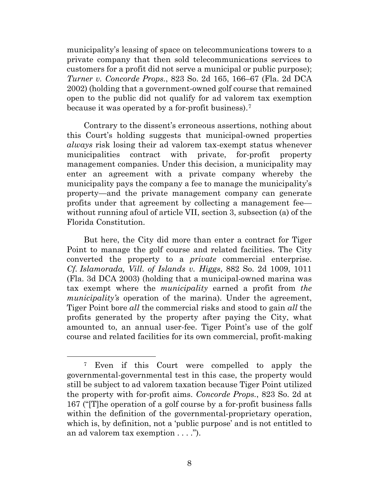municipality's leasing of space on telecommunications towers to a private company that then sold telecommunications services to customers for a profit did not serve a municipal or public purpose); *Turner v. Concorde Props.*, 823 So. 2d 165, 166–67 (Fla. 2d DCA 2002) (holding that a government-owned golf course that remained open to the public did not qualify for ad valorem tax exemption because it was operated by a for-profit business).[7](#page-7-0)

Contrary to the dissent's erroneous assertions, nothing about this Court's holding suggests that municipal-owned properties *always* risk losing their ad valorem tax-exempt status whenever municipalities contract with private, for-profit property management companies. Under this decision, a municipality may enter an agreement with a private company whereby the municipality pays the company a fee to manage the municipality's property—and the private management company can generate profits under that agreement by collecting a management fee without running afoul of article VII, section 3, subsection (a) of the Florida Constitution.

But here, the City did more than enter a contract for Tiger Point to manage the golf course and related facilities. The City converted the property to a *private* commercial enterprise. *Cf. Islamorada, Vill. of Islands v. Higgs*, 882 So. 2d 1009, 1011 (Fla. 3d DCA 2003) (holding that a municipal-owned marina was tax exempt where the *municipality* earned a profit from *the municipality's* operation of the marina). Under the agreement, Tiger Point bore *all* the commercial risks and stood to gain *all* the profits generated by the property after paying the City, what amounted to, an annual user-fee. Tiger Point's use of the golf course and related facilities for its own commercial, profit-making

<span id="page-7-0"></span><sup>7</sup> Even if this Court were compelled to apply the governmental-governmental test in this case, the property would still be subject to ad valorem taxation because Tiger Point utilized the property with for-profit aims. *Concorde Props.*, 823 So. 2d at 167 ("[T]he operation of a golf course by a for-profit business falls within the definition of the governmental-proprietary operation, which is, by definition, not a 'public purpose' and is not entitled to an ad valorem tax exemption . . . .").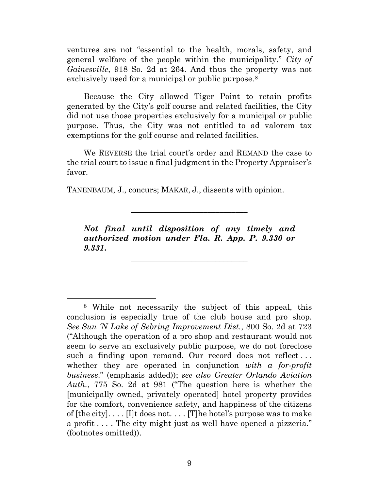ventures are not "essential to the health, morals, safety, and general welfare of the people within the municipality." *City of Gainesville*, 918 So. 2d at 264. And thus the property was not exclusively used for a municipal or public purpose.<sup>[8](#page-8-0)</sup>

Because the City allowed Tiger Point to retain profits generated by the City's golf course and related facilities, the City did not use those properties exclusively for a municipal or public purpose. Thus, the City was not entitled to ad valorem tax exemptions for the golf course and related facilities.

We REVERSE the trial court's order and REMAND the case to the trial court to issue a final judgment in the Property Appraiser's favor.

TANENBAUM, J., concurs; MAKAR, J., dissents with opinion.

*Not final until disposition of any timely and authorized motion under Fla. R. App. P. 9.330 or 9.331***.**

\_\_\_\_\_\_\_\_\_\_\_\_\_\_\_\_\_\_\_\_\_\_\_\_\_\_\_\_\_

\_\_\_\_\_\_\_\_\_\_\_\_\_\_\_\_\_\_\_\_\_\_\_\_\_\_\_\_\_

<span id="page-8-0"></span><sup>8</sup> While not necessarily the subject of this appeal, this conclusion is especially true of the club house and pro shop. *See Sun 'N Lake of Sebring Improvement Dist.*, 800 So. 2d at 723 ("Although the operation of a pro shop and restaurant would not seem to serve an exclusively public purpose, we do not foreclose such a finding upon remand. Our record does not reflect... whether they are operated in conjunction *with a for-profit business*." (emphasis added)); *see also Greater Orlando Aviation Auth.*, 775 So. 2d at 981 ("The question here is whether the [municipally owned, privately operated] hotel property provides for the comfort, convenience safety, and happiness of the citizens of  $[the city] \ldots [I]$ t does not... $[T]$ he hotel's purpose was to make a profit . . . . The city might just as well have opened a pizzeria." (footnotes omitted)).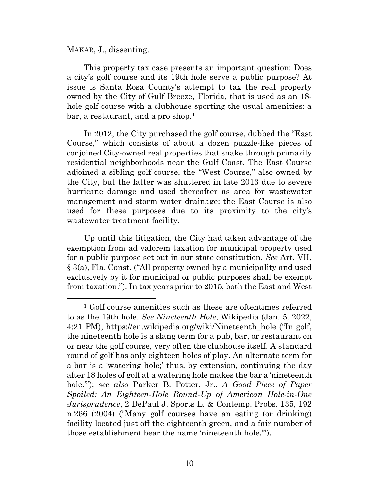MAKAR, J., dissenting.

This property tax case presents an important question: Does a city's golf course and its 19th hole serve a public purpose? At issue is Santa Rosa County's attempt to tax the real property owned by the City of Gulf Breeze, Florida, that is used as an 18 hole golf course with a clubhouse sporting the usual amenities: a bar, a restaurant, and a pro shop.<sup>[1](#page-9-0)</sup>

In 2012, the City purchased the golf course, dubbed the "East Course," which consists of about a dozen puzzle-like pieces of conjoined City-owned real properties that snake through primarily residential neighborhoods near the Gulf Coast. The East Course adjoined a sibling golf course, the "West Course," also owned by the City, but the latter was shuttered in late 2013 due to severe hurricane damage and used thereafter as area for wastewater management and storm water drainage; the East Course is also used for these purposes due to its proximity to the city's wastewater treatment facility.

Up until this litigation, the City had taken advantage of the exemption from ad valorem taxation for municipal property used for a public purpose set out in our state constitution. *See* Art. VII, § 3(a), Fla. Const. ("All property owned by a municipality and used exclusively by it for municipal or public purposes shall be exempt from taxation."). In tax years prior to 2015, both the East and West

<span id="page-9-0"></span><sup>&</sup>lt;sup>1</sup> Golf course amenities such as these are oftentimes referred to as the 19th hole. *See Nineteenth Hole*, Wikipedia (Jan. 5, 2022, 4:21 PM), https://en.wikipedia.org/wiki/Nineteenth\_hole ("In golf, the nineteenth hole is a slang term for a pub, bar, or restaurant on or near the golf course, very often the clubhouse itself. A standard round of golf has only eighteen holes of play. An alternate term for a bar is a 'watering hole;' thus, by extension, continuing the day after 18 holes of golf at a watering hole makes the bar a 'nineteenth hole.'"); *see also* Parker B. Potter, Jr., *A Good Piece of Paper Spoiled: An Eighteen-Hole Round-Up of American Hole-in-One Jurisprudence*, 2 DePaul J. Sports L. & Contemp. Probs. 135, 192 n.266 (2004) ("Many golf courses have an eating (or drinking) facility located just off the eighteenth green, and a fair number of those establishment bear the name 'nineteenth hole.'").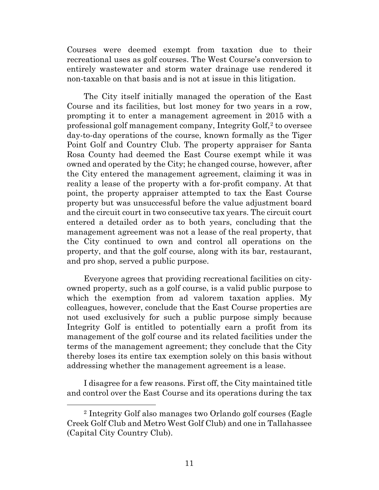Courses were deemed exempt from taxation due to their recreational uses as golf courses. The West Course's conversion to entirely wastewater and storm water drainage use rendered it non-taxable on that basis and is not at issue in this litigation.

The City itself initially managed the operation of the East Course and its facilities, but lost money for two years in a row, prompting it to enter a management agreement in 2015 with a professional golf management company, Integrity Golf,<sup>[2](#page-10-0)</sup> to oversee day-to-day operations of the course, known formally as the Tiger Point Golf and Country Club. The property appraiser for Santa Rosa County had deemed the East Course exempt while it was owned and operated by the City; he changed course, however, after the City entered the management agreement, claiming it was in reality a lease of the property with a for-profit company. At that point, the property appraiser attempted to tax the East Course property but was unsuccessful before the value adjustment board and the circuit court in two consecutive tax years. The circuit court entered a detailed order as to both years, concluding that the management agreement was not a lease of the real property, that the City continued to own and control all operations on the property, and that the golf course, along with its bar, restaurant, and pro shop, served a public purpose.

Everyone agrees that providing recreational facilities on cityowned property, such as a golf course, is a valid public purpose to which the exemption from ad valorem taxation applies. My colleagues, however, conclude that the East Course properties are not used exclusively for such a public purpose simply because Integrity Golf is entitled to potentially earn a profit from its management of the golf course and its related facilities under the terms of the management agreement; they conclude that the City thereby loses its entire tax exemption solely on this basis without addressing whether the management agreement is a lease.

I disagree for a few reasons. First off, the City maintained title and control over the East Course and its operations during the tax

<span id="page-10-0"></span><sup>2</sup> Integrity Golf also manages two Orlando golf courses (Eagle Creek Golf Club and Metro West Golf Club) and one in Tallahassee (Capital City Country Club).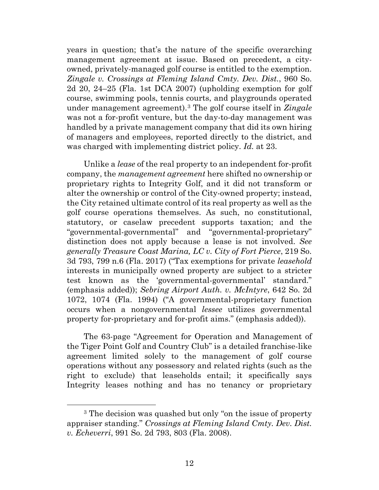years in question; that's the nature of the specific overarching management agreement at issue. Based on precedent, a cityowned, privately-managed golf course is entitled to the exemption. *Zingale v. Crossings at Fleming Island Cmty. Dev. Dist.*, 960 So. 2d 20, 24–25 (Fla. 1st DCA 2007) (upholding exemption for golf course, swimming pools, tennis courts, and playgrounds operated under management agreement).[3](#page-11-0) The golf course itself in *Zingale*  was not a for-profit venture, but the day-to-day management was handled by a private management company that did its own hiring of managers and employees, reported directly to the district, and was charged with implementing district policy. *Id.* at 23.

Unlike a *lease* of the real property to an independent for-profit company, the *management agreement* here shifted no ownership or proprietary rights to Integrity Golf, and it did not transform or alter the ownership or control of the City-owned property; instead, the City retained ultimate control of its real property as well as the golf course operations themselves. As such, no constitutional, statutory, or caselaw precedent supports taxation; and the "governmental-governmental" and "governmental-proprietary" distinction does not apply because a lease is not involved. *See generally Treasure Coast Marina, LC v. City of Fort Pierce*, 219 So. 3d 793, 799 n.6 (Fla. 2017) ("Tax exemptions for private *leasehold*  interests in municipally owned property are subject to a stricter test known as the 'governmental-governmental' standard." (emphasis added)); *Sebring Airport Auth. v. McIntyre*, 642 So. 2d 1072, 1074 (Fla. 1994) ("A governmental-proprietary function occurs when a nongovernmental *lessee* utilizes governmental property for-proprietary and for-profit aims." (emphasis added)).

The 63-page "Agreement for Operation and Management of the Tiger Point Golf and Country Club" is a detailed franchise-like agreement limited solely to the management of golf course operations without any possessory and related rights (such as the right to exclude) that leaseholds entail; it specifically says Integrity leases nothing and has no tenancy or proprietary

<span id="page-11-0"></span><sup>3</sup> The decision was quashed but only "on the issue of property appraiser standing." *Crossings at Fleming Island Cmty. Dev. Dist. v. Echeverri*, 991 So. 2d 793, 803 (Fla. 2008).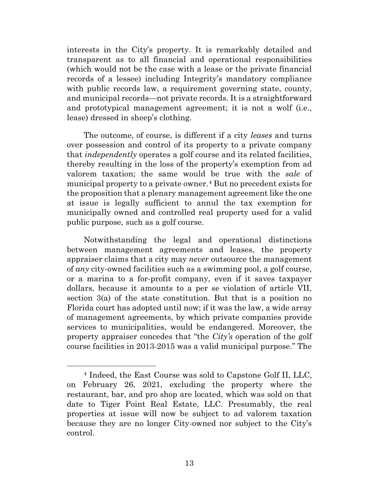interests in the City's property. It is remarkably detailed and transparent as to all financial and operational responsibilities (which would not be the case with a lease or the private financial records of a lessee) including Integrity's mandatory compliance with public records law, a requirement governing state, county, and municipal records—not private records. It is a straightforward and prototypical management agreement; it is not a wolf (i.e., lease) dressed in sheep's clothing.

The outcome, of course, is different if a city *leases* and turns over possession and control of its property to a private company that *independently* operates a golf course and its related facilities, thereby resulting in the loss of the property's exemption from ad valorem taxation; the same would be true with the *sale* of municipal property to a private owner.[4](#page-12-0) But no precedent exists for the proposition that a plenary management agreement like the one at issue is legally sufficient to annul the tax exemption for municipally owned and controlled real property used for a valid public purpose, such as a golf course.

Notwithstanding the legal and operational distinctions between management agreements and leases, the property appraiser claims that a city may *never* outsource the management of *any* city-owned facilities such as a swimming pool, a golf course, or a marina to a for-profit company, even if it saves taxpayer dollars, because it amounts to a per se violation of article VII, section 3(a) of the state constitution. But that is a position no Florida court has adopted until now; if it was the law, a wide array of management agreements, by which private companies provide services to municipalities, would be endangered. Moreover, the property appraiser concedes that "the *City's* operation of the golf course facilities in 2013-2015 was a valid municipal purpose." The

<span id="page-12-0"></span><sup>4</sup> Indeed, the East Course was sold to Capstone Golf II, LLC, on February 26, 2021, excluding the property where the restaurant, bar, and pro shop are located, which was sold on that date to Tiger Point Real Estate, LLC. Presumably, the real properties at issue will now be subject to ad valorem taxation because they are no longer City-owned nor subject to the City's control.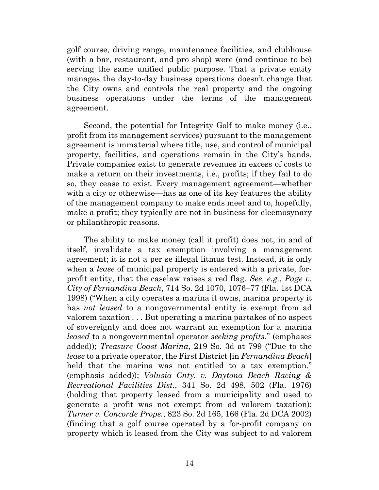golf course, driving range, maintenance facilities, and clubhouse (with a bar, restaurant, and pro shop) were (and continue to be) serving the same unified public purpose. That a private entity manages the day-to-day business operations doesn't change that the City owns and controls the real property and the ongoing business operations under the terms of the management agreement.

Second, the potential for Integrity Golf to make money (i.e., profit from its management services) pursuant to the management agreement is immaterial where title, use, and control of municipal property, facilities, and operations remain in the City's hands. Private companies exist to generate revenues in excess of costs to make a return on their investments, i.e., profits; if they fail to do so, they cease to exist. Every management agreement—whether with a city or otherwise—has as one of its key features the ability of the management company to make ends meet and to, hopefully, make a profit; they typically are not in business for eleemosynary or philanthropic reasons.

The ability to make money (call it profit) does not, in and of itself, invalidate a tax exemption involving a management agreement; it is not a per se illegal litmus test. Instead, it is only when a *lease* of municipal property is entered with a private, forprofit entity, that the caselaw raises a red flag. *See, e.g.*, *Page v. City of Fernandina Beach*, 714 So. 2d 1070, 1076–77 (Fla. 1st DCA 1998) ("When a city operates a marina it owns, marina property it has *not leased* to a nongovernmental entity is exempt from ad valorem taxation . . . But operating a marina partakes of no aspect of sovereignty and does not warrant an exemption for a marina *leased* to a nongovernmental operator *seeking profits*." (emphases added)); *Treasure Coast Marina*, 219 So. 3d at 799 ("Due to the *lease* to a private operator, the First District [in *Fernandina Beach*] held that the marina was not entitled to a tax exemption." (emphasis added)); *Volusia Cnty. v. Daytona Beach Racing & Recreational Facilities Dist.*, 341 So. 2d 498, 502 (Fla. 1976) (holding that property leased from a municipality and used to generate a profit was not exempt from ad valorem taxation); *Turner v. Concorde Props.*, 823 So. 2d 165, 166 (Fla. 2d DCA 2002) (finding that a golf course operated by a for-profit company on property which it leased from the City was subject to ad valorem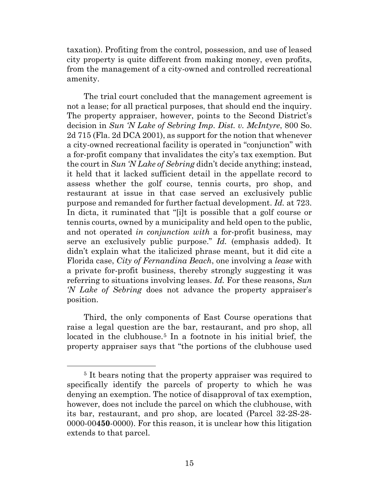taxation). Profiting from the control, possession, and use of leased city property is quite different from making money, even profits, from the management of a city-owned and controlled recreational amenity.

The trial court concluded that the management agreement is not a lease; for all practical purposes, that should end the inquiry. The property appraiser, however, points to the Second District's decision in *Sun 'N Lake of Sebring Imp. Dist. v. McIntyre*, 800 So. 2d 715 (Fla. 2d DCA 2001), as support for the notion that whenever a city-owned recreational facility is operated in "conjunction" with a for-profit company that invalidates the city's tax exemption. But the court in *Sun 'N Lake of Sebring* didn't decide anything; instead, it held that it lacked sufficient detail in the appellate record to assess whether the golf course, tennis courts, pro shop, and restaurant at issue in that case served an exclusively public purpose and remanded for further factual development. *Id.* at 723. In dicta, it ruminated that "[i]t is possible that a golf course or tennis courts, owned by a municipality and held open to the public, and not operated *in conjunction with* a for-profit business, may serve an exclusively public purpose." *Id.* (emphasis added). It didn't explain what the italicized phrase meant, but it did cite a Florida case, *City of Fernandina Beach*, one involving a *lease* with a private for-profit business, thereby strongly suggesting it was referring to situations involving leases. *Id.* For these reasons, *Sun 'N Lake of Sebring* does not advance the property appraiser's position.

Third, the only components of East Course operations that raise a legal question are the bar, restaurant, and pro shop, all located in the clubhouse.<sup>[5](#page-14-0)</sup> In a footnote in his initial brief, the property appraiser says that "the portions of the clubhouse used

<span id="page-14-0"></span><sup>&</sup>lt;sup>5</sup> It bears noting that the property appraiser was required to specifically identify the parcels of property to which he was denying an exemption. The notice of disapproval of tax exemption, however, does not include the parcel on which the clubhouse, with its bar, restaurant, and pro shop, are located (Parcel 32-2S-28- 0000-00**450**-0000). For this reason, it is unclear how this litigation extends to that parcel.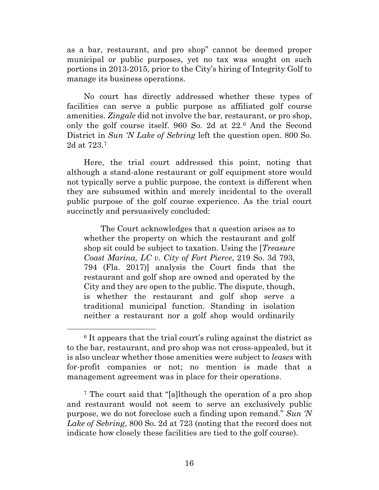as a bar, restaurant, and pro shop" cannot be deemed proper municipal or public purposes, yet no tax was sought on such portions in 2013-2015, prior to the City's hiring of Integrity Golf to manage its business operations.

No court has directly addressed whether these types of facilities can serve a public purpose as affiliated golf course amenities. *Zingale* did not involve the bar, restaurant, or pro shop, only the golf course itself. 960 So. 2d at 22.[6](#page-15-0) And the Second District in *Sun 'N Lake of Sebring* left the question open. 800 So. 2d at 723.[7](#page-15-1)

Here, the trial court addressed this point, noting that although a stand-alone restaurant or golf equipment store would not typically serve a public purpose, the context is different when they are subsumed within and merely incidental to the overall public purpose of the golf course experience. As the trial court succinctly and persuasively concluded:

The Court acknowledges that a question arises as to whether the property on which the restaurant and golf shop sit could be subject to taxation. Using the [*Treasure Coast Marina, LC v. City of Fort Pierce*, 219 So. 3d 793, 794 (Fla. 2017)] analysis the Court finds that the restaurant and golf shop are owned and operated by the City and they are open to the public. The dispute, though, is whether the restaurant and golf shop serve a traditional municipal function. Standing in isolation neither a restaurant nor a golf shop would ordinarily

<span id="page-15-0"></span><sup>6</sup> It appears that the trial court's ruling against the district as to the bar, restaurant, and pro shop was not cross-appealed, but it is also unclear whether those amenities were subject to *leases* with for-profit companies or not; no mention is made that a management agreement was in place for their operations.

<span id="page-15-1"></span><sup>7</sup> The court said that "[a]lthough the operation of a pro shop and restaurant would not seem to serve an exclusively public purpose, we do not foreclose such a finding upon remand." *Sun 'N Lake of Sebring*, 800 So. 2d at 723 (noting that the record does not indicate how closely these facilities are tied to the golf course).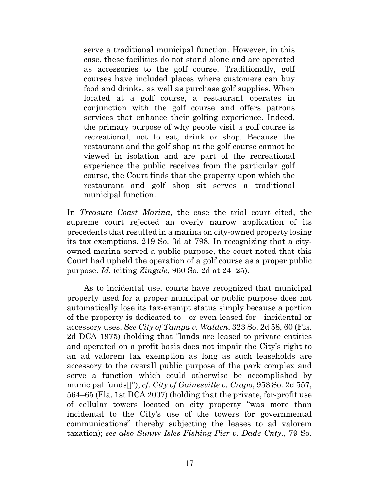serve a traditional municipal function. However, in this case, these facilities do not stand alone and are operated as accessories to the golf course. Traditionally, golf courses have included places where customers can buy food and drinks, as well as purchase golf supplies. When located at a golf course, a restaurant operates in conjunction with the golf course and offers patrons services that enhance their golfing experience. Indeed, the primary purpose of why people visit a golf course is recreational, not to eat, drink or shop. Because the restaurant and the golf shop at the golf course cannot be viewed in isolation and are part of the recreational experience the public receives from the particular golf course, the Court finds that the property upon which the restaurant and golf shop sit serves a traditional municipal function.

In *Treasure Coast Marina,* the case the trial court cited, the supreme court rejected an overly narrow application of its precedents that resulted in a marina on city-owned property losing its tax exemptions. 219 So. 3d at 798. In recognizing that a cityowned marina served a public purpose, the court noted that this Court had upheld the operation of a golf course as a proper public purpose. *Id.* (citing *Zingale*, 960 So. 2d at 24–25).

As to incidental use, courts have recognized that municipal property used for a proper municipal or public purpose does not automatically lose its tax-exempt status simply because a portion of the property is dedicated to—or even leased for—incidental or accessory uses. *See City of Tampa v. Walden*, 323 So. 2d 58, 60 (Fla. 2d DCA 1975) (holding that "lands are leased to private entities and operated on a profit basis does not impair the City's right to an ad valorem tax exemption as long as such leaseholds are accessory to the overall public purpose of the park complex and serve a function which could otherwise be accomplished by municipal funds[]"); *cf. City of Gainesville v. Crapo*, 953 So. 2d 557, 564–65 (Fla. 1st DCA 2007) (holding that the private, for-profit use of cellular towers located on city property "was more than incidental to the City's use of the towers for governmental communications" thereby subjecting the leases to ad valorem taxation); *see also Sunny Isles Fishing Pier v. Dade Cnty.*, 79 So.